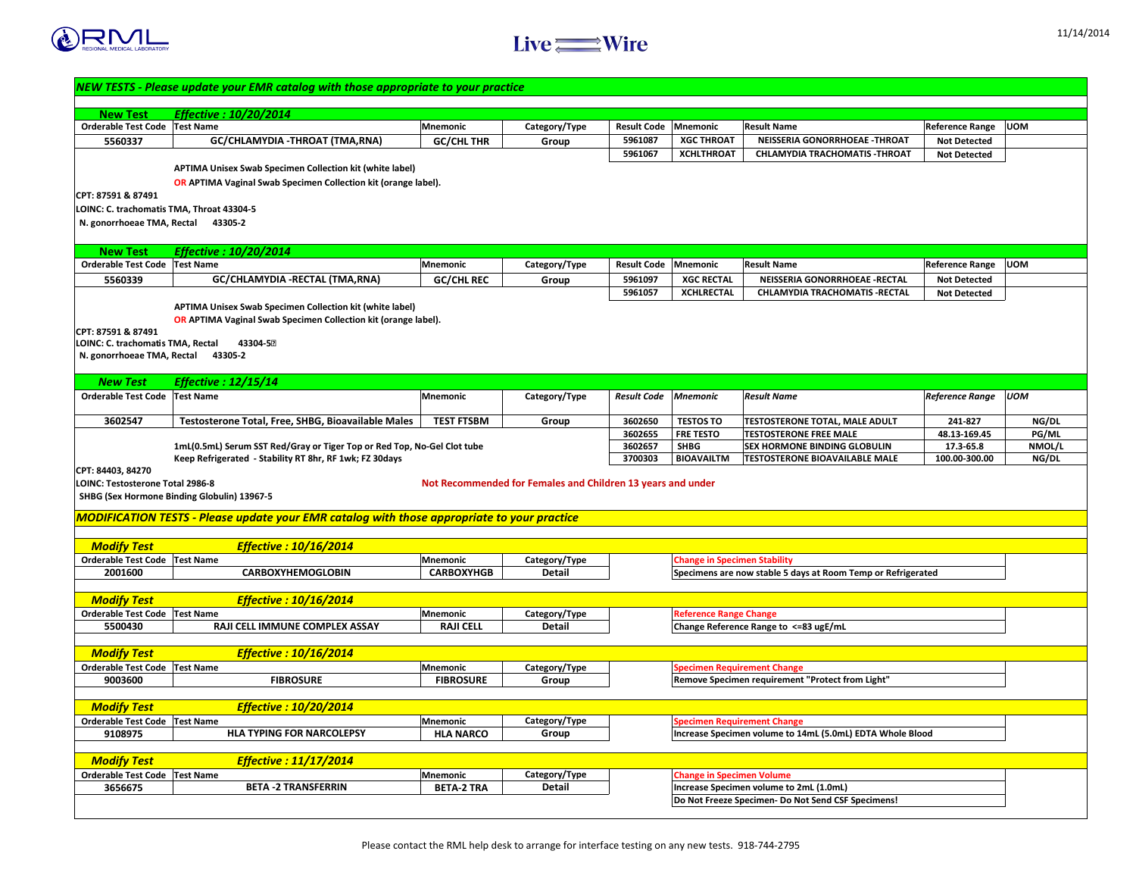# Live Wire

| <b>Effective : 10/20/2014</b><br><b>New Test</b><br><b>Reference Range</b><br><b>Result Code</b><br>Category/Type<br><b>Orderable Test Code   Test Name</b><br><b>Mnemonic</b><br><b>Result Name</b><br>Mnemonic<br><b>XGC THROAT</b><br><b>GC/CHLAMYDIA -THROAT (TMA,RNA)</b><br><b>GC/CHL THR</b><br>5961087<br><b>NEISSERIA GONORRHOEAE - THROAT</b><br>5560337<br><b>Not Detected</b><br>Group<br><b>XCHLTHROAT</b><br>5961067<br><b>CHLAMYDIA TRACHOMATIS - THROAT</b><br><b>Not Detected</b><br><b>APTIMA Unisex Swab Specimen Collection kit (white label)</b><br><b>OR APTIMA Vaginal Swab Specimen Collection kit (orange label).</b><br>CPT: 87591 & 87491<br> LOINC: C. trachomatis TMA, Throat 43304-5<br>  N. gonorrhoeae TMA, Rectal<br>43305-2<br><b>Effective : 10/20/2014</b><br><b>New Test</b><br><b>Reference Range</b><br>Category/Type<br><b>Orderable Test Code   Test Name</b><br><b>Result Code</b><br><b>Result Name</b><br><b>Mnemonic</b><br><b>Mnemonic</b><br>GC/CHLAMYDIA -RECTAL (TMA,RNA)<br><b>GC/CHL REC</b><br><b>XGC RECTAL</b><br>5961097<br><b>NEISSERIA GONORRHOEAE -RECTAL</b><br>5560339<br><b>Not Detected</b><br>Group<br><b>XCHLRECTAL</b><br>5961057<br><b>CHLAMYDIA TRACHOMATIS -RECTAL</b><br><b>Not Detected</b><br><b>APTIMA Unisex Swab Specimen Collection kit (white label)</b><br><b>OR APTIMA Vaginal Swab Specimen Collection kit (orange label).</b><br>CPT: 87591 & 87491<br> LOINC: C. trachomatis TMA, Rectal<br>43304-52<br>  N. gonorrhoeae TMA, Rectal<br>43305-2 | $ $ UOM<br>$ $ UOM    |
|----------------------------------------------------------------------------------------------------------------------------------------------------------------------------------------------------------------------------------------------------------------------------------------------------------------------------------------------------------------------------------------------------------------------------------------------------------------------------------------------------------------------------------------------------------------------------------------------------------------------------------------------------------------------------------------------------------------------------------------------------------------------------------------------------------------------------------------------------------------------------------------------------------------------------------------------------------------------------------------------------------------------------------------------------------------------------------------------------------------------------------------------------------------------------------------------------------------------------------------------------------------------------------------------------------------------------------------------------------------------------------------------------------------------------------------------------------------------------------------------------------------------------------|-----------------------|
|                                                                                                                                                                                                                                                                                                                                                                                                                                                                                                                                                                                                                                                                                                                                                                                                                                                                                                                                                                                                                                                                                                                                                                                                                                                                                                                                                                                                                                                                                                                                  |                       |
|                                                                                                                                                                                                                                                                                                                                                                                                                                                                                                                                                                                                                                                                                                                                                                                                                                                                                                                                                                                                                                                                                                                                                                                                                                                                                                                                                                                                                                                                                                                                  |                       |
|                                                                                                                                                                                                                                                                                                                                                                                                                                                                                                                                                                                                                                                                                                                                                                                                                                                                                                                                                                                                                                                                                                                                                                                                                                                                                                                                                                                                                                                                                                                                  |                       |
|                                                                                                                                                                                                                                                                                                                                                                                                                                                                                                                                                                                                                                                                                                                                                                                                                                                                                                                                                                                                                                                                                                                                                                                                                                                                                                                                                                                                                                                                                                                                  |                       |
|                                                                                                                                                                                                                                                                                                                                                                                                                                                                                                                                                                                                                                                                                                                                                                                                                                                                                                                                                                                                                                                                                                                                                                                                                                                                                                                                                                                                                                                                                                                                  |                       |
|                                                                                                                                                                                                                                                                                                                                                                                                                                                                                                                                                                                                                                                                                                                                                                                                                                                                                                                                                                                                                                                                                                                                                                                                                                                                                                                                                                                                                                                                                                                                  |                       |
|                                                                                                                                                                                                                                                                                                                                                                                                                                                                                                                                                                                                                                                                                                                                                                                                                                                                                                                                                                                                                                                                                                                                                                                                                                                                                                                                                                                                                                                                                                                                  |                       |
|                                                                                                                                                                                                                                                                                                                                                                                                                                                                                                                                                                                                                                                                                                                                                                                                                                                                                                                                                                                                                                                                                                                                                                                                                                                                                                                                                                                                                                                                                                                                  |                       |
|                                                                                                                                                                                                                                                                                                                                                                                                                                                                                                                                                                                                                                                                                                                                                                                                                                                                                                                                                                                                                                                                                                                                                                                                                                                                                                                                                                                                                                                                                                                                  |                       |
|                                                                                                                                                                                                                                                                                                                                                                                                                                                                                                                                                                                                                                                                                                                                                                                                                                                                                                                                                                                                                                                                                                                                                                                                                                                                                                                                                                                                                                                                                                                                  |                       |
|                                                                                                                                                                                                                                                                                                                                                                                                                                                                                                                                                                                                                                                                                                                                                                                                                                                                                                                                                                                                                                                                                                                                                                                                                                                                                                                                                                                                                                                                                                                                  |                       |
|                                                                                                                                                                                                                                                                                                                                                                                                                                                                                                                                                                                                                                                                                                                                                                                                                                                                                                                                                                                                                                                                                                                                                                                                                                                                                                                                                                                                                                                                                                                                  |                       |
|                                                                                                                                                                                                                                                                                                                                                                                                                                                                                                                                                                                                                                                                                                                                                                                                                                                                                                                                                                                                                                                                                                                                                                                                                                                                                                                                                                                                                                                                                                                                  |                       |
|                                                                                                                                                                                                                                                                                                                                                                                                                                                                                                                                                                                                                                                                                                                                                                                                                                                                                                                                                                                                                                                                                                                                                                                                                                                                                                                                                                                                                                                                                                                                  |                       |
|                                                                                                                                                                                                                                                                                                                                                                                                                                                                                                                                                                                                                                                                                                                                                                                                                                                                                                                                                                                                                                                                                                                                                                                                                                                                                                                                                                                                                                                                                                                                  |                       |
|                                                                                                                                                                                                                                                                                                                                                                                                                                                                                                                                                                                                                                                                                                                                                                                                                                                                                                                                                                                                                                                                                                                                                                                                                                                                                                                                                                                                                                                                                                                                  |                       |
|                                                                                                                                                                                                                                                                                                                                                                                                                                                                                                                                                                                                                                                                                                                                                                                                                                                                                                                                                                                                                                                                                                                                                                                                                                                                                                                                                                                                                                                                                                                                  |                       |
|                                                                                                                                                                                                                                                                                                                                                                                                                                                                                                                                                                                                                                                                                                                                                                                                                                                                                                                                                                                                                                                                                                                                                                                                                                                                                                                                                                                                                                                                                                                                  |                       |
|                                                                                                                                                                                                                                                                                                                                                                                                                                                                                                                                                                                                                                                                                                                                                                                                                                                                                                                                                                                                                                                                                                                                                                                                                                                                                                                                                                                                                                                                                                                                  |                       |
|                                                                                                                                                                                                                                                                                                                                                                                                                                                                                                                                                                                                                                                                                                                                                                                                                                                                                                                                                                                                                                                                                                                                                                                                                                                                                                                                                                                                                                                                                                                                  |                       |
| Effective : $12/15/14$<br><b>New Test</b>                                                                                                                                                                                                                                                                                                                                                                                                                                                                                                                                                                                                                                                                                                                                                                                                                                                                                                                                                                                                                                                                                                                                                                                                                                                                                                                                                                                                                                                                                        |                       |
| <b>Reference Range</b><br><b>Result Code Mnemonic</b><br><b>Orderable Test Code   Test Name</b><br>Category/Type<br><b>Result Name</b><br><b>Mnemonic</b>                                                                                                                                                                                                                                                                                                                                                                                                                                                                                                                                                                                                                                                                                                                                                                                                                                                                                                                                                                                                                                                                                                                                                                                                                                                                                                                                                                        | $ $ UOM               |
| <b>TESTOS TO</b>                                                                                                                                                                                                                                                                                                                                                                                                                                                                                                                                                                                                                                                                                                                                                                                                                                                                                                                                                                                                                                                                                                                                                                                                                                                                                                                                                                                                                                                                                                                 |                       |
| <b>TEST FTSBM</b><br>3602547<br><b>Testosterone Total, Free, SHBG, Bioavailable Males</b><br>Group<br>3602650<br><b>TESTOSTERONE TOTAL, MALE ADULT</b><br>241-827<br><b>FRE TESTO</b><br>3602655<br><b>TESTOSTERONE FREE MALE</b><br>48.13-169.45                                                                                                                                                                                                                                                                                                                                                                                                                                                                                                                                                                                                                                                                                                                                                                                                                                                                                                                                                                                                                                                                                                                                                                                                                                                                                | NG/DL<br><b>PG/ML</b> |
| 1mL(0.5mL) Serum SST Red/Gray or Tiger Top or Red Top, No-Gel Clot tube<br>3602657<br><b>SHBG</b><br><b>SEX HORMONE BINDING GLOBULIN</b><br>17.3-65.8                                                                                                                                                                                                                                                                                                                                                                                                                                                                                                                                                                                                                                                                                                                                                                                                                                                                                                                                                                                                                                                                                                                                                                                                                                                                                                                                                                            | NMOL/L                |
| Keep Refrigerated - Stability RT 8hr, RF 1wk; FZ 30days<br><b>BIOAVAILTM</b><br><b>TESTOSTERONE BIOAVAILABLE MALE</b><br>3700303<br>100.00-300.00                                                                                                                                                                                                                                                                                                                                                                                                                                                                                                                                                                                                                                                                                                                                                                                                                                                                                                                                                                                                                                                                                                                                                                                                                                                                                                                                                                                | NG/DL                 |
| CPT: 84403, 84270                                                                                                                                                                                                                                                                                                                                                                                                                                                                                                                                                                                                                                                                                                                                                                                                                                                                                                                                                                                                                                                                                                                                                                                                                                                                                                                                                                                                                                                                                                                |                       |
| Not Recommended for Females and Children 13 years and under<br><b>LOINC: Testosterone Total 2986-8</b>                                                                                                                                                                                                                                                                                                                                                                                                                                                                                                                                                                                                                                                                                                                                                                                                                                                                                                                                                                                                                                                                                                                                                                                                                                                                                                                                                                                                                           |                       |
| <b>SHBG (Sex Hormone Binding Globulin) 13967-5</b>                                                                                                                                                                                                                                                                                                                                                                                                                                                                                                                                                                                                                                                                                                                                                                                                                                                                                                                                                                                                                                                                                                                                                                                                                                                                                                                                                                                                                                                                               |                       |
| MODIFICATION TESTS - Please update your EMR catalog with those appropriate to your practice                                                                                                                                                                                                                                                                                                                                                                                                                                                                                                                                                                                                                                                                                                                                                                                                                                                                                                                                                                                                                                                                                                                                                                                                                                                                                                                                                                                                                                      |                       |
|                                                                                                                                                                                                                                                                                                                                                                                                                                                                                                                                                                                                                                                                                                                                                                                                                                                                                                                                                                                                                                                                                                                                                                                                                                                                                                                                                                                                                                                                                                                                  |                       |
| <b>Effective: 10/16/2014</b><br><b>Modify Test</b>                                                                                                                                                                                                                                                                                                                                                                                                                                                                                                                                                                                                                                                                                                                                                                                                                                                                                                                                                                                                                                                                                                                                                                                                                                                                                                                                                                                                                                                                               |                       |
| <b>Orderable Test Code   Test Name</b><br>Category/Type<br><b>Change in Specimen Stability</b><br><b>Mnemonic</b>                                                                                                                                                                                                                                                                                                                                                                                                                                                                                                                                                                                                                                                                                                                                                                                                                                                                                                                                                                                                                                                                                                                                                                                                                                                                                                                                                                                                                |                       |
| Specimens are now stable 5 days at Room Temp or Refrigerated<br><b>CARBOXYHEMOGLOBIN</b><br><b>CARBOXYHGB</b><br>2001600<br><b>Detail</b>                                                                                                                                                                                                                                                                                                                                                                                                                                                                                                                                                                                                                                                                                                                                                                                                                                                                                                                                                                                                                                                                                                                                                                                                                                                                                                                                                                                        |                       |
|                                                                                                                                                                                                                                                                                                                                                                                                                                                                                                                                                                                                                                                                                                                                                                                                                                                                                                                                                                                                                                                                                                                                                                                                                                                                                                                                                                                                                                                                                                                                  |                       |
| <b>Effective : 10/16/2014</b><br><b>Modify Test</b>                                                                                                                                                                                                                                                                                                                                                                                                                                                                                                                                                                                                                                                                                                                                                                                                                                                                                                                                                                                                                                                                                                                                                                                                                                                                                                                                                                                                                                                                              |                       |
| <b>Orderable Test Code   Test Name</b><br><b>Reference Range Change</b><br>Category/Type<br><b>Mnemonic</b>                                                                                                                                                                                                                                                                                                                                                                                                                                                                                                                                                                                                                                                                                                                                                                                                                                                                                                                                                                                                                                                                                                                                                                                                                                                                                                                                                                                                                      |                       |
| <b>RAJI CELL IMMUNE COMPLEX ASSAY</b><br><b>Change Reference Range to &lt;=83 ugE/mL</b><br><b>RAJI CELL</b><br>5500430<br><b>Detail</b>                                                                                                                                                                                                                                                                                                                                                                                                                                                                                                                                                                                                                                                                                                                                                                                                                                                                                                                                                                                                                                                                                                                                                                                                                                                                                                                                                                                         |                       |
|                                                                                                                                                                                                                                                                                                                                                                                                                                                                                                                                                                                                                                                                                                                                                                                                                                                                                                                                                                                                                                                                                                                                                                                                                                                                                                                                                                                                                                                                                                                                  |                       |
| <b>Effective: 10/16/2014</b><br><b>Modify Test</b>                                                                                                                                                                                                                                                                                                                                                                                                                                                                                                                                                                                                                                                                                                                                                                                                                                                                                                                                                                                                                                                                                                                                                                                                                                                                                                                                                                                                                                                                               |                       |
| <b>Orderable Test Code   Test Name</b><br>Category/Type<br><b>Specimen Requirement Change</b><br>Mnemonic                                                                                                                                                                                                                                                                                                                                                                                                                                                                                                                                                                                                                                                                                                                                                                                                                                                                                                                                                                                                                                                                                                                                                                                                                                                                                                                                                                                                                        |                       |
| Remove Specimen requirement "Protect from Light"<br><b>FIBROSURE</b><br><b>FIBROSURE</b><br>9003600<br>Group                                                                                                                                                                                                                                                                                                                                                                                                                                                                                                                                                                                                                                                                                                                                                                                                                                                                                                                                                                                                                                                                                                                                                                                                                                                                                                                                                                                                                     |                       |
|                                                                                                                                                                                                                                                                                                                                                                                                                                                                                                                                                                                                                                                                                                                                                                                                                                                                                                                                                                                                                                                                                                                                                                                                                                                                                                                                                                                                                                                                                                                                  |                       |
| <b>Effective: 10/20/2014</b><br><b>Modify Test</b>                                                                                                                                                                                                                                                                                                                                                                                                                                                                                                                                                                                                                                                                                                                                                                                                                                                                                                                                                                                                                                                                                                                                                                                                                                                                                                                                                                                                                                                                               |                       |
| <b>Orderable Test Code   Test Name</b><br>Category/Type<br><b>Specimen Requirement Change</b><br><b>Mnemonic</b>                                                                                                                                                                                                                                                                                                                                                                                                                                                                                                                                                                                                                                                                                                                                                                                                                                                                                                                                                                                                                                                                                                                                                                                                                                                                                                                                                                                                                 |                       |
| <b>HLA TYPING FOR NARCOLEPSY</b><br>Increase Specimen volume to 14mL (5.0mL) EDTA Whole Blood<br>9108975<br><b>HLA NARCO</b><br>Group                                                                                                                                                                                                                                                                                                                                                                                                                                                                                                                                                                                                                                                                                                                                                                                                                                                                                                                                                                                                                                                                                                                                                                                                                                                                                                                                                                                            |                       |
|                                                                                                                                                                                                                                                                                                                                                                                                                                                                                                                                                                                                                                                                                                                                                                                                                                                                                                                                                                                                                                                                                                                                                                                                                                                                                                                                                                                                                                                                                                                                  |                       |
| <b>Effective: 11/17/2014</b><br><b>Modify Test</b>                                                                                                                                                                                                                                                                                                                                                                                                                                                                                                                                                                                                                                                                                                                                                                                                                                                                                                                                                                                                                                                                                                                                                                                                                                                                                                                                                                                                                                                                               |                       |
| Category/Type<br><b>Change in Specimen Volume</b><br><b>Orderable Test Code   Test Name</b><br><b>Mnemonic</b>                                                                                                                                                                                                                                                                                                                                                                                                                                                                                                                                                                                                                                                                                                                                                                                                                                                                                                                                                                                                                                                                                                                                                                                                                                                                                                                                                                                                                   |                       |
|                                                                                                                                                                                                                                                                                                                                                                                                                                                                                                                                                                                                                                                                                                                                                                                                                                                                                                                                                                                                                                                                                                                                                                                                                                                                                                                                                                                                                                                                                                                                  |                       |
| 3656675<br><b>BETA -2 TRANSFERRIN</b><br><b>BETA-2 TRA</b><br><b>Increase Specimen volume to 2mL (1.0mL)</b><br>Detail<br>Do Not Freeze Specimen- Do Not Send CSF Specimens!                                                                                                                                                                                                                                                                                                                                                                                                                                                                                                                                                                                                                                                                                                                                                                                                                                                                                                                                                                                                                                                                                                                                                                                                                                                                                                                                                     |                       |



|  |  | $ \!\!\operatorname{\sf NEW}$ TESTS - Please update your EMR catalog with those appropriate to your practice |  |
|--|--|--------------------------------------------------------------------------------------------------------------|--|
|  |  |                                                                                                              |  |